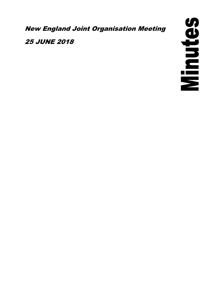New England Joint Organisation Meeting

25 JUNE 2018

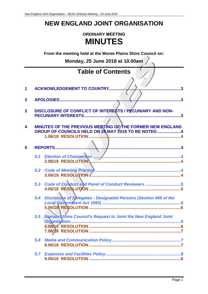# **NEW ENGLAND JOINT ORGANISATION**

# **ORDINARY MEETING MINUTES**

**From the meeting held at the Moree Plains Shire Council on:**

**Monday, 25 June 2018 at 10.00am**

|     | <b>Table of Contents</b>                                                                                         |
|-----|------------------------------------------------------------------------------------------------------------------|
|     |                                                                                                                  |
|     | <b>ACKNOWLEDGEMENT TO COUNTRY</b><br>$\mathbf{R}$                                                                |
|     | $\mathbf{R}$                                                                                                     |
|     | DISCLOSURE OF CONFLICT OF INTERESTS / PECUNIARY AND NON-<br>PECUNIARY INTERESTS<br>.3                            |
|     |                                                                                                                  |
|     | MINUTES OF THE PREVIOUS MEETING OF THE FORMER NEW ENGLAND<br>GROUP OF COUNCILS HELD ON 28 MAY 2018 TO BE NOTED 4 |
|     |                                                                                                                  |
|     |                                                                                                                  |
|     |                                                                                                                  |
|     | 2.06/18 RESOLUTION                                                                                               |
|     | 3.06/18 RESOLUTION                                                                                               |
| 5.3 | Code of Conduct and Panel of Conduct Reviewers 5                                                                 |
|     |                                                                                                                  |
|     | 5.4 Disclosure of Delegates - Designated Persons (Section 449 of the                                             |
|     |                                                                                                                  |
|     | <b>Narrabro Shire Council's Request to Joint the New England Joint</b>                                           |
|     |                                                                                                                  |
|     |                                                                                                                  |
|     |                                                                                                                  |
|     |                                                                                                                  |
|     | 5.5<br>5.6                                                                                                       |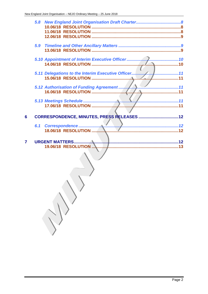$\left\langle \right\rangle$ 

 $6\phantom{a}$ 

 $\overline{7}$ 

| 5.8 |  |
|-----|--|
|     |  |
|     |  |
|     |  |
|     |  |
| 5.9 |  |
|     |  |
|     |  |
|     |  |
|     |  |
|     |  |
|     |  |
|     |  |
|     |  |
|     |  |
|     |  |
|     |  |
|     |  |
|     |  |
|     |  |
|     |  |
|     |  |
| 6.1 |  |
|     |  |
|     |  |
|     |  |
|     |  |
|     |  |
|     |  |
|     |  |
|     |  |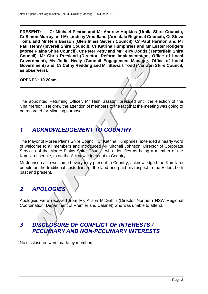**PRESENT: Cr Michael Pearce and Mr Andrew Hopkins (Uralla Shire Council), Cr Simon Murray and Mr Lindsay Woodland (Armidale Regional Council), Cr Steve Toms and Mr Hein Basson (Glen Innes Severn Council), Cr Paul Harmon and Mr Paul Henry (Inverell Shire Council), Cr Katrina Humphries and Mr Lester Rodgers (Moree Plains Shire Council), Cr Peter Petty and Mr Terry Dodds (Tenterfield Shire Council), Mr Chris Presland (Director, Reform Implementation, Office of Local Government), Ms Jodie Healy (Council Engagement Manager, Office of Local Government) and Cr Cathy Redding and Mr Stewart Todd (Narrabri Shire Council, as observers).**

**OPENED: 10.20am.**

The appointed Returning Officer, Mr Hein Basson, presided until the election of the Chairperson. He drew the attention of members to the fact that the meeting was going to be recorded for Minuting purposes.

# <span id="page-3-0"></span>*1 ACKNOWLEDGEMENT TO COUNTRY*

The Mayor of Moree Plains Shire Council, Cr Katrina Humphries, extended a hearty word of welcome to all members and introduced Mr Mitchell Johnson, Director of Corporate Services of the Moree Plains Shire Council, who identifies as being a member of the Kamilaroi people, to do the Acknowledgement to Country.

Mr Johnson also welcomed everybody present to Country, acknowledged the Kamilaroi people as the traditional custodians of the land and paid his respect to the Elders both past and present.

# <span id="page-3-1"></span>*2 APOLOGIES*

Apologies were received from Ms Alison McGaffin (Director Northern NSW Regional Coordination, Department of Premier and Cabinet) who was unable to attend.

# <span id="page-3-2"></span>*3 DISCLOSURE OF CONFLICT OF INTERESTS / PECUNIARY AND NON-PECUNIARY INTERESTS*

No disclosures were made by members.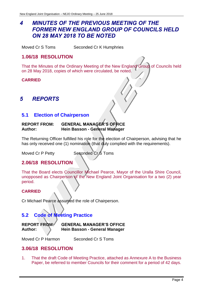# <span id="page-4-0"></span>*4 MINUTES OF THE PREVIOUS MEETING OF THE FORMER NEW ENGLAND GROUP OF COUNCILS HELD ON 28 MAY 2018 TO BE NOTED*

Moved Cr S Toms Seconded Cr K Humphries

# <span id="page-4-1"></span>**1.06/18 RESOLUTION**

That the Minutes of the Ordinary Meeting of the New England Group of Councils held on 28 May 2018, copies of which were circulated, be noted.

#### **CARRIED**

# <span id="page-4-2"></span>*5 REPORTS*

### <span id="page-4-3"></span>**5.1 Election of Chairperson**

#### **REPORT FROM: GENERAL MANAGER'S OFFICE Author: Hein Basson - General Manager**

The Returning Officer fulfilled his role for the election of Chairperson, advising that he has only received one (1) nomination (that duly complied with the requirements).

Moved Cr P Petty Seconded Cr S Toms

### <span id="page-4-4"></span>**2.06/18 RESOLUTION**

That the Board elects Councillor Michael Pearce, Mayor of the Uralla Shire Council, unopposed as Chairperson of the New England Joint Organisation for a two (2) year period.

#### **CARRIED**

Cr Michael Pearce assumed the role of Chairperson.

# <span id="page-4-5"></span>**5.2 Code of Meeting Practice**

| <b>REPORT FROM:</b> | <b>GENERAL MANAGER'S OFFICE</b> |
|---------------------|---------------------------------|
| <b>Author:</b>      | Hein Basson - General Manager   |

Moved Cr P Harmon Seconded Cr S Toms

### <span id="page-4-6"></span>**3.06/18 RESOLUTION**

1. That the draft Code of Meeting Practice, attached as Annexure A to the Business Paper, be referred to member Councils for their comment for a period of 42 days.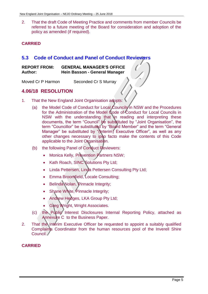2. That the draft Code of Meeting Practice and comments from member Councils be referred to a future meeting of the Board for consideration and adoption of the policy as amended (if required).

#### **CARRIED**

### <span id="page-5-0"></span>**5.3 Code of Conduct and Panel of Conduct Reviewers**

| <b>REPORT FROM:</b> | <b>GENERAL MANAGER'S OFFICE</b> |
|---------------------|---------------------------------|
| <b>Author:</b>      | Hein Basson - General Manager   |

Moved Cr P Harmon Seconded Cr S Murray

## <span id="page-5-1"></span>**4.06/18 RESOLUTION**

- 1. That the New England Joint Organisation adopts:
	- (a) the Model Code of Conduct for Local Councils in NSW and the Procedures for the Administration of the Model Code of Conduct for Local Councils in NSW with the understanding that in reading and interpreting these documents, the term "Council" be substituted by "Joint Organisation", the term "Councillor" be substituted by "Board Member" and the term "General Manager" be substituted by "(Interim) Executive Officer", as well as any other changes necessary to ipso facto make the contents of this Code applicable to the Joint Organisation.
	- (b) the following Panel of Conduct Reviewers:
		- Monica Kelly, Prevention Partners NSW;
		- Kath Roach, SINC Solutions Pty Ltd;
		- Linda Pettersen, Linda Pettersen Consulting Pty Ltd;
		- Emma Broomfield, Locale Consulting;
		- Belinda Nolan, Pinnacle Integrity;
		- Shane White, Pinnacle Integrity;
		- Andrew Hedges, LKA Group Pty Ltd;
		- Greg Wright, Wright Associates.
	- (c) the Public Interest Disclosures Internal Reporting Policy, attached as Annexure C to the Business Paper.
- 2. That the Interim Executive Officer be requested to appoint a suitably qualified Complaints Coordinator from the human resources pool of the Inverell Shire Council.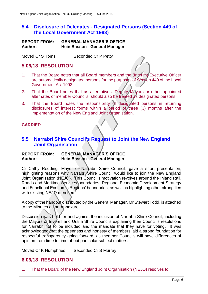## <span id="page-6-0"></span>**5.4 Disclosure of Delegates - Designated Persons (Section 449 of the Local Government Act 1993)**

| <b>REPORT FROM:</b> | <b>GENERAL MANAGER'S OFFICE</b> |
|---------------------|---------------------------------|
| <b>Author:</b>      | Hein Basson - General Manager   |

Moved Cr S Toms Seconded Cr P Petty

## <span id="page-6-1"></span>**5.06/18 RESOLUTION**

- 1. That the Board notes that all Board members and the (Interim) Executive Officer are automatically designated persons for the purposes of Section 449 of the Local Government Act 1993.
- 2. That the Board notes that as alternatives, Deputy Mayors or other appointed alternates of member Councils, should also be treated as designated persons.
- 3. That the Board notes the responsibility of designated persons in returning disclosures of interest forms within a period of three (3) months after the implementation of the New England Joint Organisation.

#### **CARRIED**

### <span id="page-6-2"></span>**5.5 Narrabri Shire Council's Request to Joint the New England Joint Organisation**

#### **REPORT FROM: GENERAL MANAGER'S OFFICE Author: Hein Basson - General Manager**

Cr Cathy Redding, Mayor of Narrabri Shire Council, gave a short presentation, highlighting reasons why Narrabri/Shire Council would like to join the New England Joint Organisation (NEJO). This Council's motivation revolves around the Inland Rail, Roads and Maritime Services boundaries, Regional Economic Development Strategy and Functional Economic Regions' boundaries, as well as highlighting other strong ties with existing NEJO members.

A copy of the handout distributed by the General Manager, Mr Stewart Todd, is attached to the Minutes as an Annexure.

Discussion was held for and against the inclusion of Narrabri Shire Council, including the Mayors of Inverell and Uralla Shire Councils explaining their Council's resolutions for Narrabri not to be included and the mandate that they have for voting. It was acknowledged that the openness and honesty of members laid a strong foundation for respectful transparency going forward, as member Councils will have differences of opinion from time to time about particular subject matters.

Moved Cr K Humphries Seconded Cr S Murray

# <span id="page-6-3"></span>**6.06/18 RESOLUTION**

1. That the Board of the New England Joint Organisation (NEJO) resolves to: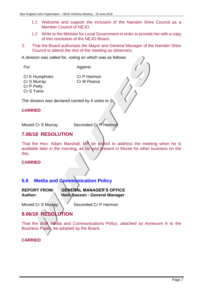- 1.1 Welcome and support the inclusion of the Narrabri Shire Council as a Member Council of NEJO.
- 1.2 Write to the Minister for Local Government in order to provide her with a copy of this resolution of the NEJO-Board.
- 2. That the Board authorises the Mayor and General Manager of the Narrabri Shire Council to attend the rest of the meeting as observers.

A division was called for, voting on which was as follows:

For Against

Cr K Humphries Cr P Harmon Cr S Murray Cr M Pearce Cr P Petty Cr S Toms

The division was declared carried by 4 votes to 2.

#### **CARRIED**

Moved Cr S Murray Seconded Cr P Harmon

# <span id="page-7-0"></span>**7.06/18 RESOLUTION**

That the Hon. Adam Marshall, MP be invited to address the meeting when he is available later in the morning, as he was present in Moree for other business on the day.

#### **CARRIED**

# <span id="page-7-1"></span>**5.6 Media and Communication Policy**

## **REPORT FROM: GENERAL MANAGER'S OFFICE Author: Hein Basson - General Manager**

Moved Cr S Murray Seconded Cr P Harmon

# <span id="page-7-2"></span>**8.06/18 RESOLUTION**

That the draft Media and Communications Policy, attached as Annexure A to the Business Paper, be adopted by the Board.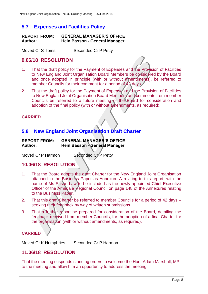# <span id="page-8-0"></span>**5.7 Expenses and Facilities Policy**

| <b>REPORT FROM:</b> | <b>GENERAL MANAGER'S OFFICE</b> |
|---------------------|---------------------------------|
| Author:             | Hein Basson - General Manager   |

Moved Cr S Toms Seconded Cr P Petty

## <span id="page-8-1"></span>**9.06/18 RESOLUTION**

- 1. That the draft policy for the Payment of Expenses and the Provision of Facilities to New England Joint Organisation Board Members be considered by the Board and once adopted in principle (with or without amendments), be referred to member Councils for their comment for a period of 42 days.
- 2. That the draft policy for the Payment of Expenses and the Provision of Facilities to New England Joint Organisation Board Members and comments from member Councils be referred to a future meeting of the Board for consideration and adoption of the final policy (with or without amendments, as required).

#### **CARRIED**

# <span id="page-8-2"></span>**5.8 New England Joint Organisation Draft Charter**

| <b>REPORT FROM:</b> | <b>GENERAL MANAGER'S OFFICE</b>      |
|---------------------|--------------------------------------|
| Author:             | <b>Hein Basson - General Manager</b> |

Moved Cr P Harmon Seconded Cr P Petty

<span id="page-8-3"></span>

### **10.06/18 RESOLUTION**

- 1. That the Board adopts the draft Charter for the New England Joint Organisation attached to the Business Paper as Annexure A relating to this report, with the name of Ms Susan Law to be included as the newly appointed Chief Executive Officer of the Armidale Regional Council on page 148 of the Annexures relating to the Business Paper.
- 2. That this draft Charter be referred to member Councils for a period of 42 days seeking their feedback by way of written submissions.
- 3. That a further report be prepared for consideration of the Board, detailing the feedback received from member Councils, for the adoption of a final Charter for the organisation (with or without amendments, as required).

# **CARRIED**

Moved Cr K Humphries Seconded Cr P Harmon

### <span id="page-8-4"></span>**11.06/18 RESOLUTION**

That the meeting suspends standing orders to welcome the Hon. Adam Marshall, MP to the meeting and allow him an opportunity to address the meeting.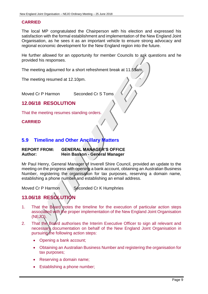#### **CARRIED**

The local MP congratulated the Chairperson with his election and expressed his satisfaction with the formal establishment and implementation of the New England Joint Organisation, as he sees it as an important vehicle to ensure strong advocacy and regional economic development for the New England region into the future.

He further allowed for an opportunity for member Councils to ask questions and he provided his responses.

The meeting adjourned for a short refreshment break at 11.55am.

The meeting resumed at 12.10pm.

Moved Cr P Harmon Seconded Cr S Toms

## <span id="page-9-0"></span>**12.06/18 RESOLUTION**

That the meeting resumes standing orders.

#### **CARRIED**

# <span id="page-9-1"></span>**5.9 Timeline and Other Ancillary Matters**

#### **REPORT FROM: GENERAL MANAGER'S OFFICE Author: Hein Basson - General Manager**

Mr Paul Henry, General Manager of Inverell Shire Council, provided an update to the meeting on the progress with opening a bank account, obtaining an Australian Business Number, registering the organisation for tax purposes, reserving a domain name, establishing a phone number and establishing an email address.

Moved Cr P Harmon Seconded Cr K Humphries

# <span id="page-9-2"></span>**13.06/18 RESOLUTION**

- 1. That the Board notes the timeline for the execution of particular action steps associated with the proper implementation of the New England Joint Organisation (NEJO).
- 2. That the Board authorises the Interim Executive Officer to sign all relevant and necessary documentation on behalf of the New England Joint Organisation in pursuing the following action steps:
	- Opening a bank account;
	- Obtaining an Australian Business Number and registering the organisation for tax purposes;
	- Reserving a domain name;
	- Establishing a phone number;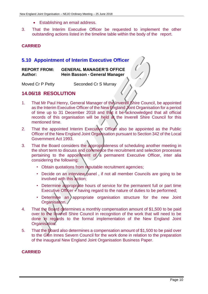- Establishing an email address.
- 3. That the Interim Executive Officer be requested to implement the other outstanding actions listed in the timeline table within the body of the report.

#### **CARRIED**

#### <span id="page-10-0"></span>**5.10 Appointment of Interim Executive Officer**

| <b>REPORT FROM:</b> | <b>GENERAL MANAGER'S OFFICE</b> |
|---------------------|---------------------------------|
| <b>Author:</b>      | Hein Basson - General Manager   |

Moved Cr P Petty Seconded Cr S Murray

## <span id="page-10-1"></span>**14.06/18 RESOLUTION**

- 1. That Mr Paul Henry, General Manager of the Inverell Shire Council, be appointed as the Interim Executive Officer of the New England Joint Organisation for a period of time up to 31 December 2018 and that it be acknowledged that all official records of this organisation will be held at the Inverell Shire Council for this mentioned time.
- 2. That the appointed Interim Executive Officer also be appointed as the Public Officer of the New England Joint Organisation pursuant to Section 342 of the Local Government Act 1993.
- 3. That the Board considers the appropriateness of scheduling another meeting in the short term to discuss and commence the recruitment and selection processes pertaining to the appointment of  $/a$  permanent Executive Officer, inter alia considering the following:
	- Obtain quotations from reputable recruitment agencies;
	- Decide on an interview panel, if not all member Councils are going to be involved with this action;
	- Determine appropriate hours of service for the permanent full or part time Executive Officer - having regard to the nature of duties to be performed;
	- Determine an appropriate organisation structure for the new Joint Organisation.
- 4. That the Board determines a monthly compensation amount of \$1,500 to be paid over to the Inverell Shire Council in recognition of the work that will need to be done in regards to the formal implementation of the New England Joint Organisation.
- 5. That the Board also determines a compensation amount of \$1,500 to be paid over to the Glen Innes Severn Council for the work done in relation to the preparation of the inaugural New England Joint Organisation Business Paper.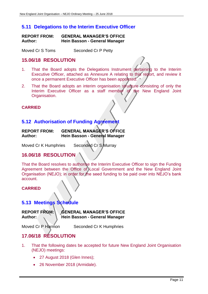# <span id="page-11-0"></span>**5.11 Delegations to the Interim Executive Officer**

| <b>REPORT FROM:</b> | <b>GENERAL MANAGER'S OFFICE</b> |
|---------------------|---------------------------------|
| Author:             | Hein Basson - General Manager   |

Moved Cr S Toms Seconded Cr P Petty

### <span id="page-11-1"></span>**15.06/18 RESOLUTION**

- 1. That the Board adopts the Delegations Instrument pertaining to the Interim Executive Officer, attached as Annexure A relating to this report, and review it once a permanent Executive Officer has been appointed.
- 2. That the Board adopts an interim organisation structure consisting of only the Interim Executive Officer as a staff member of the New England Joint Organisation.

#### **CARRIED**

# <span id="page-11-2"></span>**5.12 Authorisation of Funding Agreement**

| <b>REPORT FROM:</b> | <b>GENERAL MANAGER'S OFFICE</b> |
|---------------------|---------------------------------|
| <b>Author:</b>      | Hein Basson - General Manager   |

Moved Cr K Humphries Seconded Cr S Murray

# <span id="page-11-3"></span>**16.06/18 RESOLUTION**

That the Board resolves to authorise the Interim Executive Officer to sign the Funding Agreement between the Office of Local Government and the New England Joint Organisation (NEJO); in order for the seed funding to be paid over into NEJO's bank account.

#### **CARRIED**

### <span id="page-11-4"></span>**5.13 Meetings Schedule**

**REPORT FROM: GENERAL MANAGER'S OFFICE** Author: **Notify Thein Basson - General Manager** 

Moved Cr P Harmon Seconded Cr K Humphries

# <span id="page-11-5"></span>**17.06/18 RESOLUTION**

- 1. That the following dates be accepted for future New England Joint Organisation (NEJO) meetings:
	- 27 August 2018 (Glen Innes);
	- 26 November 2018 (Armidale).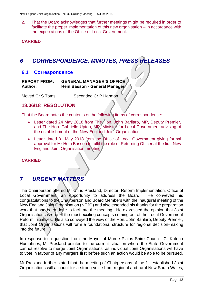2. That the Board acknowledges that further meetings might be required in order to facilitate the proper implementation of this new organisation – in accordance with the expectations of the Office of Local Government.

#### **CARRIED**

# <span id="page-12-0"></span>*6 CORRESPONDENCE, MINUTES, PRESS RELEASES*

#### <span id="page-12-1"></span>**6.1 Correspondence**

**REPORT FROM: GENERAL MANAGER'S OFFICE Author: Hein Basson - General Manager**

Moved Cr S Toms Seconded Cr P Harmon

#### **18.06/18 RESOLUTION**

That the Board notes the contents of the following items of correspondence:

- <span id="page-12-2"></span>• Letter dated 24 May 2018 from The Hon. John Barilaro, MP, Deputy Premier, and The Hon. Gabrielle Upton, MP, Minister for Local Government advising of the establishment of the New England Joint Organisation;
- Letter dated 31 May 2018 from the Office of Local Government giving formal approval for Mr Hein Basson to fulfil the role of Returning Officer at the first New England Joint Organisation meeting.

#### **CARRIED**

# <span id="page-12-3"></span>*7 URGENT MATTERS*

The Chairperson offered Mr Chris Presland, Director, Reform Implementation, Office of Local Government, an opportunity to address the Board. He conveyed his congratulations to the Chairperson and Board Members with the inaugural meeting of the New England Joint Organisation (NEJO) and also extended his thanks for the preparation work that had been done to facilitate the meeting. He expressed the opinion that Joint Organisations is one of the most exciting concepts coming out of the Local Government Reform initiatives. He also conveyed the view of the Hon. John Barilaro, Deputy Premier, that Joint Organisations will form a foundational structure for regional decision-making into the future.

In response to a question from the Mayor of Moree Plains Shire Council, Cr Katrina Humphries, Mr Presland pointed to the current situation where the State Government cannot resolve to merge Joint Organisations, as individual Joint Organisations will have to vote in favour of any mergers first before such an action would be able to be pursued.

Mr Presland further stated that the meeting of Chairpersons of the 11 established Joint Organisations will account for a strong voice from regional and rural New South Wales,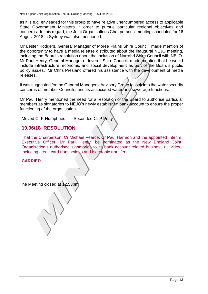as it is e.g. envisaged for this group to have relative unencumbered access to applicable State Government Ministers in order to pursue particular regional objectives and concerns. In this regard, the Joint Organisations Chairpersons' meeting scheduled for 16 August 2018 in Sydney was also mentioned.

Mr Lester Rodgers, General Manager of Moree Plains Shire Council, made mention of the opportunity to have a media release distributed about the inaugural NEJO meeting, including the Board's resolution about the inclusion of Narrabri Shire Council with NEJO. Mr Paul Henry, General Manager of Inverell Shire Council, made mention that he would include infrastructure, economic and social development as part of the Board's public policy issues. Mr Chris Presland offered his assistance with the development of media releases.

It was suggested for the General Managers' Advisory Group to look into the water security concerns of member Councils, and its associated water and sewerage functions.

Mr Paul Henry mentioned the need for a resolution of the Board to authorise particular members as signatories to NEJO's newly established bank account to ensure the proper functioning of the organisation.

Moved Cr K Humphries Seconded Cr P Petty

#### <span id="page-13-0"></span>**19.06/18 RESOLUTION**

That the Chairperson, Cr Michael Pearce, Cr Paul Harmon and the appointed Interim Executive Officer, Mr Paul Henry, be nominated as the New England Joint Organisation's authorised signatories to its bank account related business activities, including credit card transactions and electronic transfers.

The Meeting closed at 12.53pm